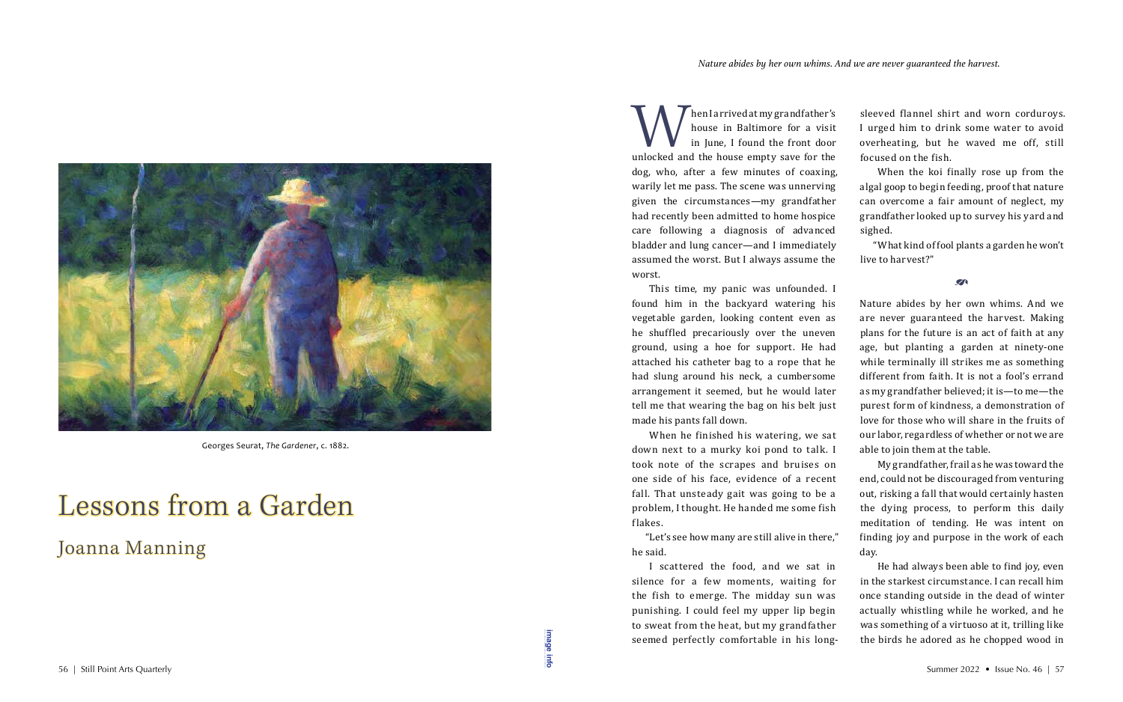Man I arrived at my grandfather's<br>house in Baltimore for a visit<br>in June, I found the front door<br>unlocked and the house empty save for the house in Baltimore for a visit in June, I found the front door unlocked and the house empty save for the dog, who, after a few minutes of coaxing, warily let me pass. The scene was unnerving given the circumstances—my grandfather had recently been admitted to home hospice care following a diagnosis of advanced bladder and lung cancer—and I immediately assumed the worst. But I always assume the worst.

I scattered the food, and we sat in silence for a few moments, waiting for the fish to emerge. The midday sun was punishing. I could feel my upper lip begin to sweat from the heat, but my grandfather seemed perfectly comfortable in his long-Seemed perfectly comfortable in his long-<br>56 | Still Point Arts Quarterly Summer 2022 • Issue No. 46 | 57

This time, my panic was unfounded. I found him in the backyard watering his vegetable garden, looking content even as he shuffled precariously over the uneven ground, using a hoe for support. He had attached his catheter bag to a rope that he had slung around his neck, a cumbersome arrangement it seemed, but he would later tell me that wearing the bag on his belt just made his pants fall down.

When he finished his watering, we sat down next to a murky koi pond to talk. I took note of the scrapes and bruises on one side of his face, evidence of a recent fall. That unsteady gait was going to be a problem, I thought. He handed me some fish flakes.

"Let's see how many are still alive in there," he said.

sleeved flannel shirt and worn corduroys. I urged him to drink some water to avoid overheating, but he waved me off, still focused on the fish.

When the koi finally rose up from the algal goop to begin feeding, proof that nature can overcome a fair amount of neglect, my grandfather looked up to survey his yard and sighed.

"What kind of fool plants a garden he won't live to harvest?"

 $\mathcal{L}$ 

Nature abides by her own whims. And we are never guaranteed the harvest. Making plans for the future is an act of faith at any age, but planting a garden at ninety-one while terminally ill strikes me as something different from faith. It is not a fool's errand as my grandfather believed; it is—to me—the purest form of kindness, a demonstration of love for those who will share in the fruits of our labor, regardless of whether or not we are able to join them at the table.

My grandfather, frail as he was toward the end, could not be discouraged from venturing out, risking a fall that would certainly hasten the dying process, to perform this daily meditation of tending. He was intent on finding joy and purpose in the work of each

day.

He had always been able to find joy, even in the starkest circumstance. I can recall him once standing outside in the dead of winter actually whistling while he worked, and he was something of a virtuoso at it, trilling like the birds he adored as he chopped wood in

## Lessons from a Garden Joanna Manning

**[image info](http://www.shantiarts.co/SPAQ/SPAQ46/files/SPAQ46_SUM22_DIGITAL_IMAGECREDITS.pdf)**



Georges Seurat, *The Gardener*, c. 1882.